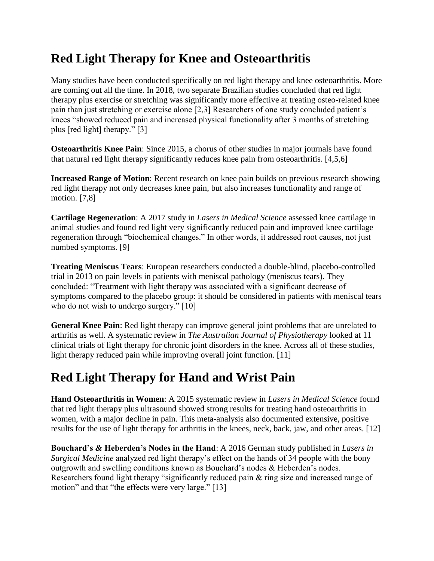## **Red Light Therapy for Knee and Osteoarthritis**

Many studies have been conducted specifically on red light therapy and knee osteoarthritis. More are coming out all the time. In 2018, two separate Brazilian studies concluded that red light therapy plus exercise or stretching was significantly more effective at treating osteo-related knee pain than just stretching or exercise alone [2,3] Researchers of one study concluded patient's knees "showed reduced pain and increased physical functionality after 3 months of stretching plus [red light] therapy." [3]

**Osteoarthritis Knee Pain**: Since 2015, a chorus of other studies in major journals have found that natural red light therapy significantly reduces knee pain from osteoarthritis. [4,5,6]

**Increased Range of Motion**: Recent research on knee pain builds on previous research showing red light therapy not only decreases knee pain, but also increases functionality and range of motion. [7,8]

**Cartilage Regeneration**: A 2017 study in *Lasers in Medical Science* assessed knee cartilage in animal studies and found red light very significantly reduced pain and improved knee cartilage regeneration through "biochemical changes." In other words, it addressed root causes, not just numbed symptoms. [9]

**Treating Meniscus Tears**: European researchers conducted a double-blind, placebo-controlled trial in 2013 on pain levels in patients with meniscal pathology (meniscus tears). They concluded: "Treatment with light therapy was associated with a significant decrease of symptoms compared to the placebo group: it should be considered in patients with meniscal tears who do not wish to undergo surgery." [10]

**General Knee Pain**: Red light therapy can improve general joint problems that are unrelated to arthritis as well. A systematic review in *The Australian Journal of Physiotherapy* looked at 11 clinical trials of light therapy for chronic joint disorders in the knee. Across all of these studies, light therapy reduced pain while improving overall joint function. [11]

## **Red Light Therapy for Hand and Wrist Pain**

**Hand Osteoarthritis in Women**: A 2015 systematic review in *Lasers in Medical Science* found that red light therapy plus ultrasound showed strong results for treating hand osteoarthritis in women, with a major decline in pain. This meta-analysis also documented extensive, positive results for the use of light therapy for arthritis in the knees, neck, back, jaw, and other areas. [12]

**Bouchard's & Heberden's Nodes in the Hand**: A 2016 German study published in *Lasers in Surgical Medicine* analyzed red light therapy's effect on the hands of 34 people with the bony outgrowth and swelling conditions known as Bouchard's nodes & Heberden's nodes. Researchers found light therapy "significantly reduced pain  $\&$  ring size and increased range of motion" and that "the effects were very large." [13]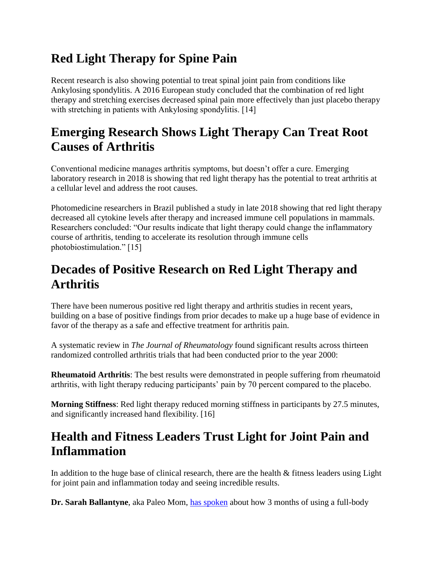# **Red Light Therapy for Spine Pain**

Recent research is also showing potential to treat spinal joint pain from conditions like Ankylosing spondylitis. A 2016 European study concluded that the combination of red light therapy and stretching exercises decreased spinal pain more effectively than just placebo therapy with stretching in patients with Ankylosing spondylitis. [14]

### **Emerging Research Shows Light Therapy Can Treat Root Causes of Arthritis**

Conventional medicine manages arthritis symptoms, but doesn't offer a cure. Emerging laboratory research in 2018 is showing that red light therapy has the potential to treat arthritis at a cellular level and address the root causes.

Photomedicine researchers in Brazil published a study in late 2018 showing that red light therapy decreased all cytokine levels after therapy and increased immune cell populations in mammals. Researchers concluded: "Our results indicate that light therapy could change the inflammatory course of arthritis, tending to accelerate its resolution through immune cells photobiostimulation." [15]

# **Decades of Positive Research on Red Light Therapy and Arthritis**

There have been numerous positive red light therapy and arthritis studies in recent years, building on a base of positive findings from prior decades to make up a huge base of evidence in favor of the therapy as a safe and effective treatment for arthritis pain.

A systematic review in *The Journal of Rheumatology* found significant results across thirteen randomized controlled arthritis trials that had been conducted prior to the year 2000:

**Rheumatoid Arthritis**: The best results were demonstrated in people suffering from rheumatoid arthritis, with light therapy reducing participants' pain by 70 percent compared to the placebo.

**Morning Stiffness**: Red light therapy reduced morning stiffness in participants by 27.5 minutes, and significantly increased hand flexibility. [16]

## **Health and Fitness Leaders Trust Light for Joint Pain and Inflammation**

In addition to the huge base of clinical research, there are the health & fitness leaders using Light for joint pain and inflammation today and seeing incredible results.

**Dr. Sarah Ballantyne**, aka Paleo Mom, [has spoken](https://joovv.com/blogs/joovv-blog/dr-sarah-ballantyne-aka-paleo-mom-shares-her-approach-to-writing-personal-fitness-and-reveals-her-5-year-plan) about how 3 months of using a full-body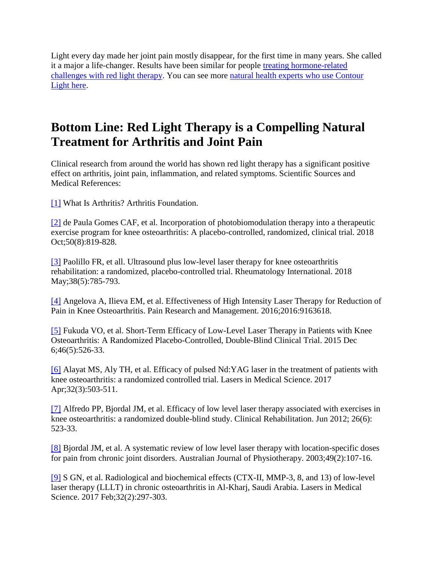Light every day made her joint pain mostly disappear, for the first time in many years. She called it a major a life-changer. Results have been similar for people [treating hormone-related](https://joovv.com/blogs/joovv-blog/enhance-thyroid-gland-health-red-and-near-infrared-light-therapy)  [challenges with red light therapy.](https://joovv.com/blogs/joovv-blog/enhance-thyroid-gland-health-red-and-near-infrared-light-therapy) You can see more [natural health experts who use Contour](https://joovv.com/pages/endorsements)  [Light](https://joovv.com/pages/endorsements) here.

## **Bottom Line: Red Light Therapy is a Compelling Natural Treatment for Arthritis and Joint Pain**

Clinical research from around the world has shown red light therapy has a significant positive effect on arthritis, joint pain, inflammation, and related symptoms. Scientific Sources and Medical References:

[\[1\]](https://www.arthritis.org/about-arthritis/understanding-arthritis/what-is-arthritis.php) What Is Arthritis? Arthritis Foundation.

[\[2\]](https://www.ncbi.nlm.nih.gov/pubmed/29733117) de Paula Gomes CAF, et al. Incorporation of photobiomodulation therapy into a therapeutic exercise program for knee osteoarthritis: A placebo-controlled, randomized, clinical trial. 2018 Oct;50(8):819-828.

[\[3\]](https://www.ncbi.nlm.nih.gov/pubmed/29480363) Paolillo FR, et all. Ultrasound plus low-level laser therapy for knee osteoarthritis rehabilitation: a randomized, placebo-controlled trial. Rheumatology International. 2018 May; 38(5): 785-793.

[\[4\]](https://www.ncbi.nlm.nih.gov/pubmed/28096711) Angelova A, Ilieva EM, et al. Effectiveness of High Intensity Laser Therapy for Reduction of Pain in Knee Osteoarthritis. Pain Research and Management. 2016;2016:9163618.

[\[5\]](https://www.ncbi.nlm.nih.gov/pubmed/27027049) Fukuda VO, et al. Short-Term Efficacy of Low-Level Laser Therapy in Patients with Knee Osteoarthritis: A Randomized Placebo-Controlled, Double-Blind Clinical Trial. 2015 Dec 6;46(5):526-33.

[\[6\]](https://www.ncbi.nlm.nih.gov/pubmed/28078503) Alayat MS, Aly TH, et al. Efficacy of pulsed Nd:YAG laser in the treatment of patients with knee osteoarthritis: a randomized controlled trial. Lasers in Medical Science. 2017 Apr;32(3):503-511.

[\[7\]](https://www.ncbi.nlm.nih.gov/pubmed/22169831) Alfredo PP, Bjordal JM, et al. Efficacy of low level laser therapy associated with exercises in knee osteoarthritis: a randomized double-blind study. Clinical Rehabilitation. Jun 2012; 26(6): 523-33.

[\[8\]](https://www.ncbi.nlm.nih.gov/pubmed/12775206) Bjordal JM, et al. A systematic review of low level laser therapy with location-specific doses for pain from chronic joint disorders. Australian Journal of Physiotherapy. 2003;49(2):107-16.

[\[9\]](https://www.ncbi.nlm.nih.gov/pubmed/27913970) S GN, et al. Radiological and biochemical effects (CTX-II, MMP-3, 8, and 13) of low-level laser therapy (LLLT) in chronic osteoarthritis in Al-Kharj, Saudi Arabia. Lasers in Medical Science. 2017 Feb;32(2):297-303.